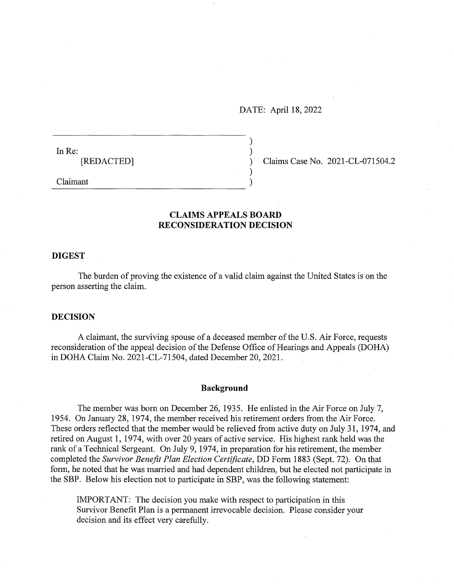DATE: April 18, 2022

)

)

In Re:  $\qquad \qquad$ )

[REDACTED] ) Claims Case No. 2021-CL-071504.2

Claimant )

# **CLAIMS APPEALS BOARD RECONSIDERATION DECISION**

### **DIGEST**

The burden of proving the existence of a valid claim against the United States is on the person asserting the claim.

#### **DECISION**

A claimant, the surviving spouse of a deceased member ofthe U.S. Air Force, requests reconsideration of the appeal decision of the Defense Office of Hearings and Appeals (DOHA) in DOHA Claim No. 2021-CL-71504, dated December 20, 2021.

### **Background**

The member was born on December 26, 1935. He enlisted in the Air Force on July 7, 1954. On January 28, 1974, the member received his retirement orders from the Air Force. These orders reflected that the member would be relieved from active duty on July 31, 1974, and retired on August 1, 1974, with over 20 years of active service. His highest rank held was the rank of a Technical Sergeant. On July 9, 1974, in preparation for his retirement, the member completed the *Survivor Benefit Plan Election Certificate,* DD Form 1883 (Sept. 72). On that form, he noted that he was married and had dependent children, but he elected not participate in the SBP. Below his election not to participate in SBP, was the following statement:

IMPORTANT: The decision you make with respect to participation in this Survivor Benefit Plan is a permanent irrevocable decision. Please consider your decision and its effect very carefully.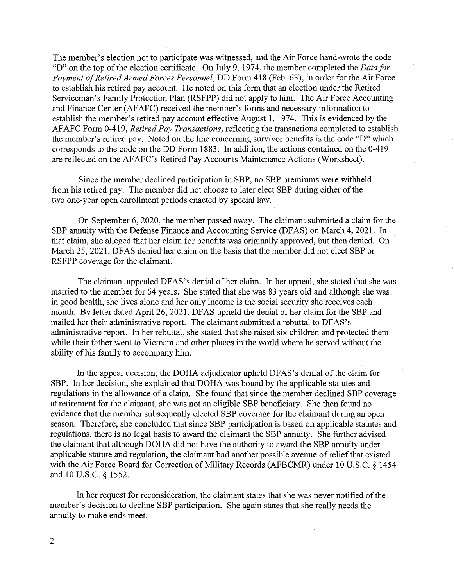The member's election not to participate was witnessed, and the Air Force hand-wrote the code "D" on the top of the election certificate. On July 9, 1974, the member completed the *Data for* Payment of Retired Armed Forces Personnel, DD Form 418 (Feb. 63), in order for the Air Force to establish his retired pay account. He noted on this form that an election under the Retired Serviceman's Family Protection Plan (RSFPP) did not apply to him. The Air Force Accounting and Finance Center (AF AFC) received the member's forms and necessary information to establish the member's retired pay account effective August 1, 1974. This is evidenced by the AFAFC Form 0-419, *Retired Pay Transactions,* reflecting the transactions completed to establish the member's retired pay. Noted on the line concerning survivor benefits is the code "D" which corresponds to the code on the DD Form 1883. In addition, the actions contained on the 0-419 are reflected on the AFAFC's Retired Pay Accounts Maintenance Actions (Worksheet).

Since the member declined participation in SBP, no SBP premiums were withheld from his retired pay. The member did not choose to later elect SBP during either of the two one-year open enrollment periods enacted by special law.

On September 6, 2020, the member passed away. The claimant submitted a claim for the SBP annuity with the Defense Finance and Accounting Service (DFAS) on March 4, 2021. In that claim, she alleged that her claim for benefits was originally approved, but then denied. On March 25, 2021, DFAS denied her claim on the basis that the member did not elect SBP or RSFPP coverage for the claimant.

The claimant appealed DFAS's denial of her claim. In her appeal, she stated that she was married to the member for 64 years. She stated that she was 83 years old and although she was in good health, she lives alone and her only income is the social security she receives each month. By letter dated April 26, 2021, DFAS upheld the denial of her claim for the SBP and mailed her their administrative report. The claimant submitted a rebuttal to DFAS's administrative report. In her rebuttal, she stated that she raised six children and protected them while their father went to Vietnam and other places in the world where he served without the ability of his family to accompany him.

In the appeal decision, the DOHA adjudicator upheld DFAS's denial of the claim for SBP. In her decision, she explained that DOHA was bound by the applicable statutes and regulations in the allowance of a claim. She found that since the member declined SBP coverage at retirement for the claimant, she was not an eligible SBP beneficiary. She then found no evidence that the member subsequently elected SBP coverage for the claimant during an open season. Therefore, she concluded that since SBP participation is based on applicable statutes and regulations, there is no legal basis to award the claimant the SBP annuity. She further advised the claimant that although DOHA did not have the authority to award the SBP annuity under applicable statute and regulation, the claimant had another possible avenue ofrelief that existed with the Air Force Board for Correction of Military Records (AFBCMR) under 10 U.S.C. § 1454 and 10 U.S.C. § 1552.

In her request for reconsideration, the claimant states that she was never notified of the member's decision to decline SBP participation. She again states that she really needs the annuity to make ends meet.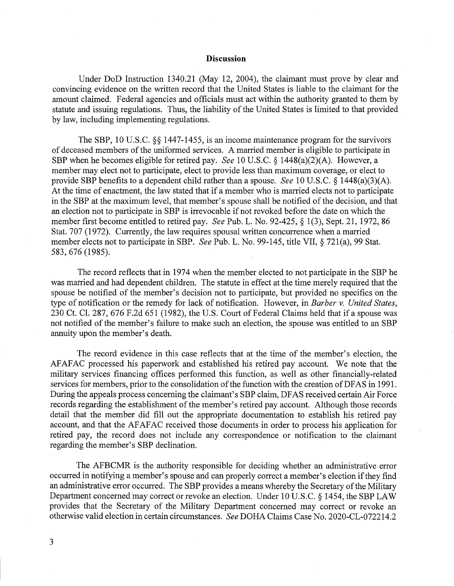#### **Discussion**

Under DoD Instruction 1340.21 (May 12, 2004), the claimant must prove by clear and convincing evidence on the written record that the United States is liable to the claimant for the amount claimed. Federal agencies and officials must act within the authority granted to them by statute and issuing regulations. Thus, the liability of the United States is limited to that provided by law, including implementing regulations.

The SBP, 10 U.S.C. §§ 1447-1455, is an income maintenance program for the survivors of deceased members of the uniformed services. A married member is eligible to participate in SBP when he becomes eligible for retired pay. *See* 10 U.S.C. § 1448(a)(2)(A). However, a member may elect not to participate, elect to provide less than maximum coverage, or elect to provide SBP benefits to a dependent child rather than a spouse. *See* 10 U.S.C. § 1448(a)(3)(A). At the time of enactment, the law stated that if a member who is married elects not to participate in the SBP at the maximum level, that member's spouse shall be notified of the decision, and that an election not to participate in SBP is irrevocable if not revoked before the date on which the member first become entitled to retired pay. *See* Pub. L. No. 92-425, § 1(3), Sept. 21, 1972, 86 Stat. 707 (1972). Currently, the law requires spousal written concurrence when a married member elects not to participate in SBP. *See* Pub. L. No. 99-145, title VII, § 721(a), 99 Stat. 583,676 (1985).

The record reflects that in 1974 when the member elected to not participate in the SBP he was married and had dependent children. The statute in effect at the time merely required that the spouse be notified of the member's decision not to participate, but provided no specifics on the type of notification or the remedy for lack of notification. However, in *Barber v. United States,*  230 Ct. Cl. 287, 676 F.2d 651 (1982), the U.S. Court of Federal Claims held that if a spouse was not notified of the member's failure to make such an election, the spouse was entitled to an SBP annuity upon the member's death.

The record evidence in this case reflects that at the time of the member's election, the AFAFAC processed his paperwork and established his retired pay account. We note that the military services financing offices performed this function, as well as other financially-related services for members, prior to the consolidation of the function with the creation of DFAS in 1991. During the appeals process concerning the claimant's SBP claim, DFAS received certain Air Force records regarding the establishment of the member's retired pay account. Although those records detail that the member did fill out the appropriate documentation to establish his retired pay account, and that the AFAFAC received those documents in order to process his application for retired pay, the record does not include any correspondence or notification to the claimant regarding the member's SBP declination.

The AFBCMR is the authority responsible for deciding whether an administrative error occurred in notifying a member's spouse and can properly correct a member's election if they find an administrative error occurred. The SBP provides a means whereby the Secretary of the Military Department concerned may correct or revoke an election. Under 10 U.S.C. § 1454, the SBP LAW provides that the Secretary of the Military Department concerned may correct or revoke an otherwise valid election in certain circumstances. *See* DOHA Claims Case No. 2020-CL-072214.2

3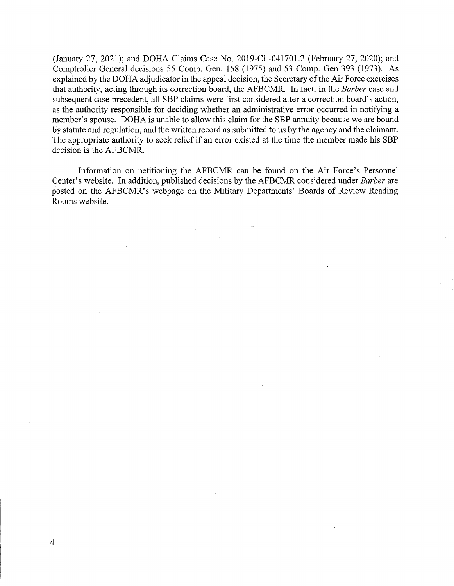(January 27, 2021); and DOHA Claims Case No. 2019-CL-041701.2 (February 27, 2020); and Comptroller General decisions 55 Comp. Gen. 158 (1975) and 53 Comp. Gen 393 (1973). As explained by the DOHA adjudicator in the appeal decision, the Secretary of the Air Force exercises that authority, acting through its correction board, the AFBCMR. In fact, in the *Barber* case and subsequent case precedent, all SBP claims were first considered after a correction board's action, as the authority responsible for deciding whether an administrative error occurred in notifying a member's spouse. DOHA is unable to allow this claim for the SBP annuity because we are bound by statute and regulation, and the written record as submitted to us by the agency and the claimant. The appropriate authority to seek relief if an error existed at the time the member made his SBP decision is the AFBCMR.

Information on petitioning the AFBCMR can be found on the Air Force's Personnel Center's website. In addition, published decisions by the AFBCMR considered under *Barber* are posted on the AFBCMR's webpage on the Military Departments' Boards of Review Reading Rooms website.

4